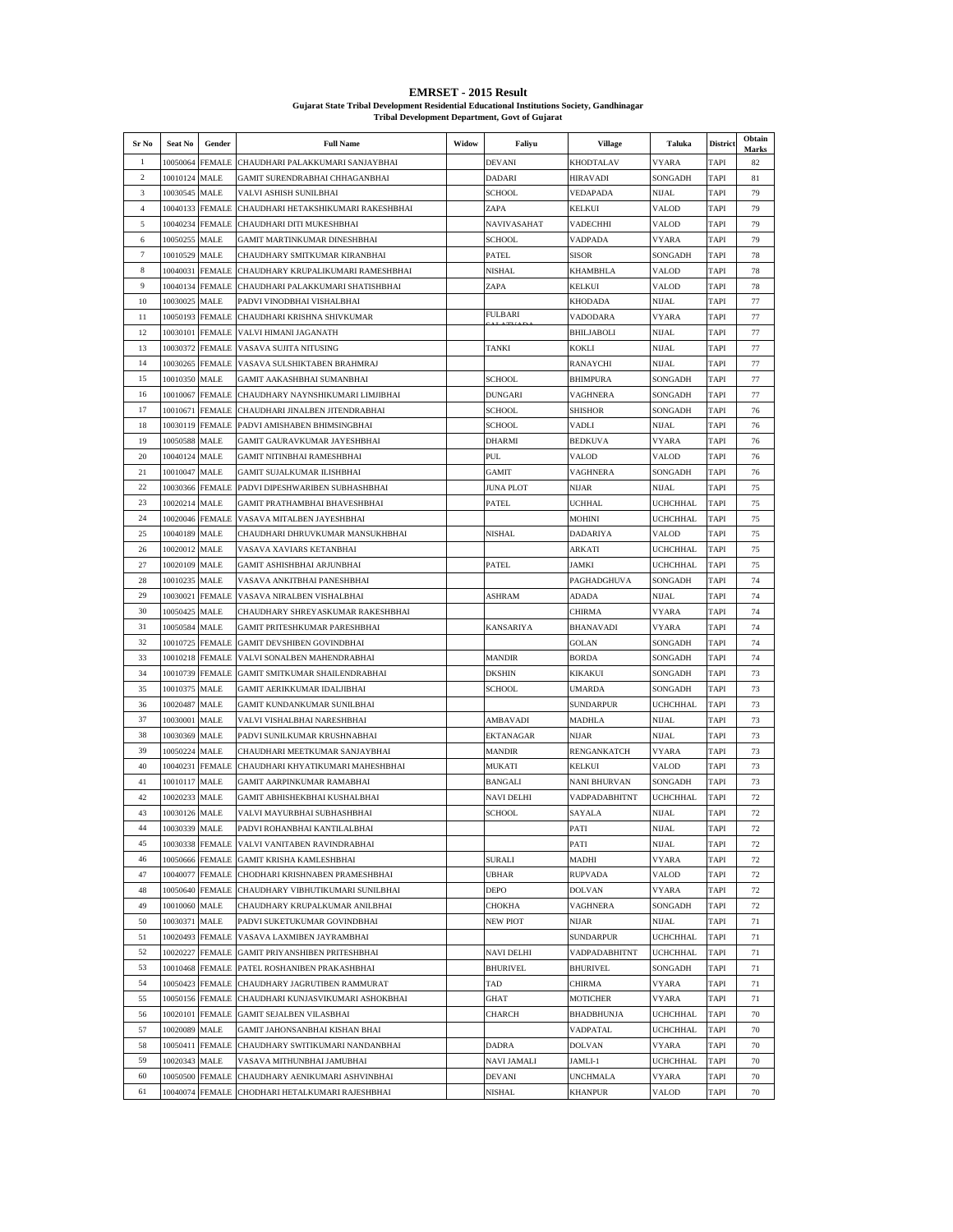| <b>EMRSET - 2015 Result</b>                                                                |
|--------------------------------------------------------------------------------------------|
| Guiarat State Tribal Development Residential Educational Institutions Society. Gandhinagar |
| <b>Tribal Development Department, Govt of Guiarat</b>                                      |

| Sr No          | Seat No                   | Gender                         | <b>Full Name</b>                                                     | Widow | Faliyu                             | <b>Village</b>                    | Taluka             | District            | Obtain<br>Marks |
|----------------|---------------------------|--------------------------------|----------------------------------------------------------------------|-------|------------------------------------|-----------------------------------|--------------------|---------------------|-----------------|
| 1              | 10050064                  | <b>FEMALE</b>                  | CHAUDHARI PALAKKUMARI SANJAYBHAI                                     |       | <b>DEVANI</b>                      | KHODTALAV                         | <b>VYARA</b>       | <b>TAPI</b>         | 82              |
| $\overline{c}$ | 10010124                  | MALE                           | GAMIT SURENDRABHAI CHHAGANBHAI                                       |       | DADARI                             | <b>HIRAVADI</b>                   | SONGADH            | TAPI                | 81              |
| 3              | 10030545                  | MALE                           | VALVI ASHISH SUNILBHAI                                               |       | <b>SCHOOL</b>                      | VEDAPADA                          | NIJAL              | TAPI                | 79              |
| $\overline{4}$ | 10040133                  | <b>FEMALE</b>                  | CHAUDHARI HETAKSHIKUMARI RAKESHBHAI                                  |       | ZAPA                               | <b>KELKUI</b>                     | VALOD              | <b>TAPI</b>         | 79              |
| 5              | 10040234                  | <b>FEMALE</b>                  | CHAUDHARI DITI MUKESHBHAI                                            |       | NAVIVASAHAT                        | VADECHHI                          | VALOD              | TAPI                | 79              |
| 6              | 10050255                  | MALE                           | GAMIT MARTINKUMAR DINESHBHAI                                         |       | SCHOOL                             | <b>VADPADA</b>                    | VYARA              | TAPI                | 79              |
| 7              | 10010529                  | MALE                           | CHAUDHARY SMITKUMAR KIRANBHAI                                        |       | PATEL                              | <b>SISOR</b>                      | SONGADH            | <b>TAPI</b>         | 78              |
| 8              | 10040031                  | <b>FEMALE</b>                  | CHAUDHARY KRUPALIKUMARI RAMESHBHAI                                   |       | <b>NISHAL</b>                      | KHAMBHLA                          | VALOD              | TAPI                | 78              |
| 9              | 10040134                  | <b>FEMALE</b>                  | CHAUDHARI PALAKKUMARI SHATISHBHAI                                    |       | ZAPA                               | <b>KELKUI</b>                     | VALOD              | TAPI                | 78              |
| 10             | 10030025                  | <b>MALE</b>                    | PADVI VINODBHAI VISHALBHAI                                           |       |                                    | <b>KHODADA</b>                    | NIJAL              | TAPI                | 77              |
| 11             | 10050193                  | <b>FEMALE</b>                  | CHAUDHARI KRISHNA SHIVKUMAR                                          |       | FULBARI                            | VADODARA                          | VYARA              | TAPI                | 77              |
| 12             | 10030101                  | <b>FEMALE</b>                  | VALVI HIMANI JAGANATH                                                |       |                                    | BHILJABOLI                        | NIJAL              | TAPI                | 77              |
| 13             | 10030372                  | <b>FEMALE</b>                  | VASAVA SUJITA NITUSING                                               |       | <b>TANKI</b>                       | <b>KOKLI</b>                      | NIJAL              | <b>TAPI</b>         | 77              |
| 14             | 10030265                  | FEMALE                         | VASAVA SULSHIKTABEN BRAHMRAJ                                         |       |                                    | RANAYCHI                          | NIJAL              | TAPI                | 77              |
| 15             | 10010350                  | MALE                           | GAMIT AAKASHBHAI SUMANBHAI                                           |       | SCHOOL                             | <b>BHIMPURA</b>                   | SONGADH            | TAPI                | 77              |
| 16<br>17       | 10010067<br>10010671      | <b>FEMALE</b><br><b>FEMALE</b> | CHAUDHARY NAYNSHIKUMARI LIMJIBHAI<br>CHAUDHARI JINALBEN JITENDRABHAI |       | DUNGARI<br>SCHOOL                  | <b>VAGHNERA</b><br><b>SHISHOR</b> | SONGADH<br>SONGADH | TAPI<br><b>TAPI</b> | 77<br>76        |
| 18             | 10030119                  | <b>FEMALE</b>                  | PADVI AMISHABEN BHIMSINGBHAI                                         |       | SCHOOL                             | VADLI                             | NIJAL              | TAPI                | 76              |
| 19             | 10050588                  | MALE                           | GAMIT GAURAVKUMAR JAYESHBHAI                                         |       | <b>DHARMI</b>                      | <b>BEDKUVA</b>                    | VYARA              | TAPI                | 76              |
| 20             | 10040124                  | MALE                           | GAMIT NITINBHAI RAMESHBHAI                                           |       | PUL                                | <b>VALOD</b>                      | VALOD              | <b>TAPI</b>         | 76              |
| 21             | 10010047                  | MALE                           | GAMIT SUJALKUMAR ILISHBHAI                                           |       | GAMIT                              | VAGHNERA                          | SONGADH            | TAPI                | 76              |
| 22             | 10030366                  | <b>FEMALE</b>                  | PADVI DIPESHWARIBEN SUBHASHBHAI                                      |       | <b>JUNA PLOT</b>                   | NIJAR                             | NIJAL              | TAPI                | 75              |
| 23             | 10020214                  | MALE                           | GAMIT PRATHAMBHAI BHAVESHBHAI                                        |       | <b>PATEL</b>                       | <b>UCHHAL</b>                     | UCHCHHAL           | <b>TAPI</b>         | 75              |
| 24             | 10020046                  | <b>FEMALE</b>                  | VASAVA MITALBEN JAYESHBHAI                                           |       |                                    | MOHINI                            | UCHCHHAL           | TAPI                | 75              |
| 25             | 10040189                  | <b>MALE</b>                    | CHAUDHARI DHRUVKUMAR MANSUKHBHAI                                     |       | NISHAL                             | <b>DADARIYA</b>                   | VALOD              | TAPI                | 75              |
| 26             | 10020012                  | MALE                           | VASAVA XAVIARS KETANBHAI                                             |       |                                    | <b>ARKATI</b>                     | <b>UCHCHHAL</b>    | <b>TAPI</b>         | 75              |
| 27             | 10020109                  | <b>MALE</b>                    | GAMIT ASHISHBHAI ARJUNBHAI                                           |       | <b>PATEL</b>                       | JAMKI                             | UCHCHHAL           | TAPI                | 75              |
| 28             | 10010235                  | MALE                           | VASAVA ANKITBHAI PANESHBHAI                                          |       |                                    | PAGHADGHUVA                       | SONGADH            | TAPI                | 74              |
| 29             | 10030021                  | <b>FEMALE</b>                  | VASAVA NIRALBEN VISHALBHAI                                           |       | ASHRAM                             | <b>ADADA</b>                      | NIJAL              | <b>TAPI</b>         | 74              |
| 30             | 10050425                  | MALE                           | CHAUDHARY SHREYASKUMAR RAKESHBHAI                                    |       |                                    | CHIRMA                            | VYARA              | TAPI                | 74              |
| 31             | 10050584                  | MALE                           | GAMIT PRITESHKUMAR PARESHBHAI                                        |       | KANSARIYA                          | BHANAVADI                         | VYARA              | <b>TAPI</b>         | 74              |
| 32             | 10010725                  | <b>FEMALE</b>                  | <b>GAMIT DEVSHIBEN GOVINDBHAI</b>                                    |       |                                    | <b>GOLAN</b>                      | SONGADH            | <b>TAPI</b>         | 74              |
| 33             | 10010218                  | <b>FEMALE</b>                  | VALVI SONALBEN MAHENDRABHAI                                          |       | <b>MANDIR</b>                      | <b>BORDA</b>                      | SONGADH            | TAPI                | 74              |
| 34             | 10010739                  | <b>FEMALE</b>                  | GAMIT SMITKUMAR SHAILENDRABHAI                                       |       | <b>DKSHIN</b>                      | KIKAKUI                           | SONGADH            | <b>TAPI</b>         | 73              |
| 35             | 10010375                  | MALE                           | GAMIT AERIKKUMAR IDALJIBHAI                                          |       | SCHOOL                             | <b>UMARDA</b>                     | SONGADH            | TAPI                | 73              |
| 36             | 10020487                  | MALE                           | GAMIT KUNDANKUMAR SUNILBHAI                                          |       |                                    | SUNDARPUR                         | UCHCHHAL           | TAPI                | 73              |
| 37             | 10030001                  | MALE                           | VALVI VISHALBHAI NARESHBHAI                                          |       | AMBAVADI                           | MADHLA                            | NIJAL              | TAPI                | 73              |
| 38             | 10030369                  | <b>MALE</b>                    | PADVI SUNILKUMAR KRUSHNABHAI                                         |       | <b>EKTANAGAR</b>                   | <b>NIJAR</b>                      | NIJAL              | TAPI                | 73              |
| 39             | 10050224                  | MALE                           | CHAUDHARI MEETKUMAR SANJAYBHAI                                       |       | <b>MANDIR</b>                      | RENGANKATCH                       | VYARA              | TAPI                | 73              |
| 40             | 10040231                  | <b>FEMALE</b>                  | CHAUDHARI KHYATIKUMARI MAHESHBHAI                                    |       | MUKATI                             | <b>KELKUI</b>                     | VALOD              | TAPI                | 73              |
| 41             | 10010117                  | MALE                           | GAMIT AARPINKUMAR RAMABHAI                                           |       | <b>BANGALI</b>                     | <b>NANI BHURVAN</b>               | SONGADH            | TAPI                | 73              |
| 42<br>43       | 10020233<br>10030126      | MALE                           | GAMIT ABHISHEKBHAI KUSHALBHAI<br>VALVI MAYURBHAI SUBHASHBHAI         |       | <b>NAVI DELHI</b><br><b>SCHOOL</b> | VADPADABHITNT<br>SAYALA           | UCHCHHAL           | <b>TAPI</b><br>TAPI | 72<br>72        |
| 44             |                           | MALE                           |                                                                      |       |                                    |                                   | NIJAL              |                     |                 |
| 45             | 10030339 MALE<br>10030338 | <b>FEMALE</b>                  | PADVI ROHANBHAI KANTILALBHAI<br>VALVI VANITABEN RAVINDRABHAI         |       |                                    | PATI<br>PATI                      | NIJAL<br>NIJAL     | TAPI<br>TAPI        | 72<br>72        |
| 46             | 10050666                  | <b>FEMALE</b>                  | GAMIT KRISHA KAMLESHBHAI                                             |       | SURALI                             | MADHI                             | <b>VYARA</b>       | TAPI                | 72              |
| 47             | 10040077                  | FEMALE                         | CHODHARI KRISHNABEN PRAMESHBHAI                                      |       | UBHAR                              | <b>RUPVADA</b>                    | VALOD              | TAPI                | 72              |
| 48             | 10050640                  | <b>FEMALE</b>                  | CHAUDHARY VIBHUTIKUMARI SUNILBHAI                                    |       | DEPO                               | <b>DOLVAN</b>                     | <b>VYARA</b>       | TAPI                | 72              |
| 49             | 10010060                  | MALE                           | CHAUDHARY KRUPALKUMAR ANILBHAI                                       |       | СНОКНА                             | <b>VAGHNERA</b>                   | SONGADH            | TAPI                | 72              |
| 50             | 10030371                  | MALE                           | PADVI SUKETUKUMAR GOVINDBHAI                                         |       | NEW PIOT                           | NIJAR                             | NIJAL              | TAPI                | 71              |
| 51             | 10020493                  | <b>FEMALE</b>                  | VASAVA LAXMIBEN JAYRAMBHAI                                           |       |                                    | SUNDARPUR                         | <b>UCHCHHAL</b>    | <b>TAPI</b>         | 71              |
| 52             | 10020227                  | <b>FEMALE</b>                  | GAMIT PRIYANSHIBEN PRITESHBHAI                                       |       | NAVI DELHI                         | VADPADABHITNT                     | UCHCHHAL           | TAPI                | 71              |
| 53             | 10010468                  | <b>FEMALE</b>                  | PATEL ROSHANIBEN PRAKASHBHAI                                         |       | <b>BHURIVEL</b>                    | <b>BHURIVEL</b>                   | SONGADH            | TAPI                | 71              |
| 54             | 10050423                  | <b>FEMALE</b>                  | CHAUDHARY JAGRUTIBEN RAMMURAT                                        |       | TAD                                | <b>CHIRMA</b>                     | VYARA              | TAPI                | 71              |
| 55             | 10050156                  | <b>FEMALE</b>                  | CHAUDHARI KUNJASVIKUMARI ASHOKBHAI                                   |       | GHAT                               | <b>MOTICHER</b>                   | VYARA              | TAPI                | 71              |
| 56             | 10020101                  | FEMALE                         | <b>GAMIT SEJALBEN VILASBHAI</b>                                      |       | CHARCH                             | BHADBHUNJA                        | UCHCHHAL           | TAPI                | 70              |
| 57             | 10020089                  | MALE                           | GAMIT JAHONSANBHAI KISHAN BHAI                                       |       |                                    | VADPATAL                          | <b>UCHCHHAL</b>    | <b>TAPI</b>         | 70              |
| 58             | 10050411                  | <b>FEMALE</b>                  | CHAUDHARY SWITIKUMARI NANDANBHAI                                     |       | DADRA                              | <b>DOLVAN</b>                     | <b>VYARA</b>       | TAPI                | 70              |
| 59             | 10020343                  | <b>MALE</b>                    | VASAVA MITHUNBHAI JAMUBHAI                                           |       | <b>NAVI JAMALI</b>                 | JAMLI-1                           | UCHCHHAL           | TAPI                | 70              |
| 60             | 10050500                  | <b>FEMALE</b>                  | CHAUDHARY AENIKUMARI ASHVINBHAI                                      |       | DEVANI                             | <b>UNCHMALA</b>                   | VYARA              | TAPI                | 70              |
| 61             | 10040074                  | <b>FEMALE</b>                  | CHODHARI HETALKUMARI RAJESHBHAI                                      |       | NISHAL                             | <b>KHANPUR</b>                    | VALOD              | <b>TAPI</b>         | 70              |